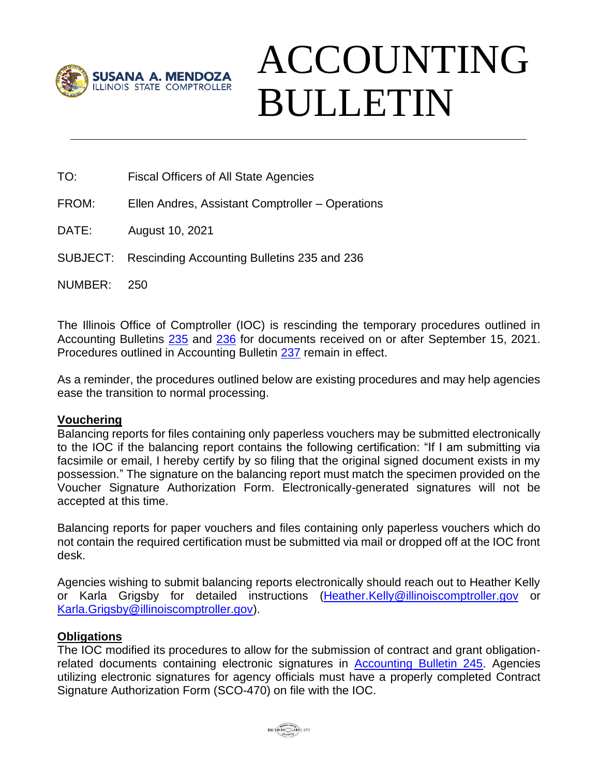

## ACCOUNTING BULLETIN

TO: Fiscal Officers of All State Agencies

FROM: Ellen Andres, Assistant Comptroller – Operations

DATE: August 10, 2021

SUBJECT: Rescinding Accounting Bulletins 235 and 236

NUMBER: 250

The Illinois Office of Comptroller (IOC) is rescinding the temporary procedures outlined in Accounting Bulletins [235](https://illinoiscomptroller.gov/agencies/resource-library/accounting-bulletins/covid-19-temporary-procedures-memo/235/) and [236](https://illinoiscomptroller.gov/agencies/resource-library/accounting-bulletins/update-covid-19-temporary-procedures-memo/236/) for documents received on or after September 15, 2021. Procedures outlined in Accounting Bulletin [237](https://illinoiscomptroller.gov/agencies/resource-library/accounting-bulletins/tracking-covid-19-revenues-and-expenditures/237/) remain in effect.

As a reminder, the procedures outlined below are existing procedures and may help agencies ease the transition to normal processing.

## **Vouchering**

Balancing reports for files containing only paperless vouchers may be submitted electronically to the IOC if the balancing report contains the following certification: "If I am submitting via facsimile or email, I hereby certify by so filing that the original signed document exists in my possession." The signature on the balancing report must match the specimen provided on the Voucher Signature Authorization Form. Electronically-generated signatures will not be accepted at this time.

Balancing reports for paper vouchers and files containing only paperless vouchers which do not contain the required certification must be submitted via mail or dropped off at the IOC front desk.

Agencies wishing to submit balancing reports electronically should reach out to Heather Kelly or Karla Grigsby for detailed instructions [\(Heather.Kelly@illinoiscomptroller.gov](mailto:Heather.Kelly@illinoiscomptroller.gov) or [Karla.Grigsby@illinoiscomptroller.gov\)](mailto:Karla.Grigsby@illinoiscomptroller.gov).

## **Obligations**

The IOC modified its procedures to allow for the submission of contract and grant obligation-related documents containing electronic signatures in [Accounting Bulletin 245.](https://illinoiscomptroller.gov/agencies/resource-library/accounting-bulletins/electronic-signatures-on-obligation-related-documents/245/) Agencies utilizing electronic signatures for agency officials must have a properly completed Contract Signature Authorization Form (SCO-470) on file with the IOC.